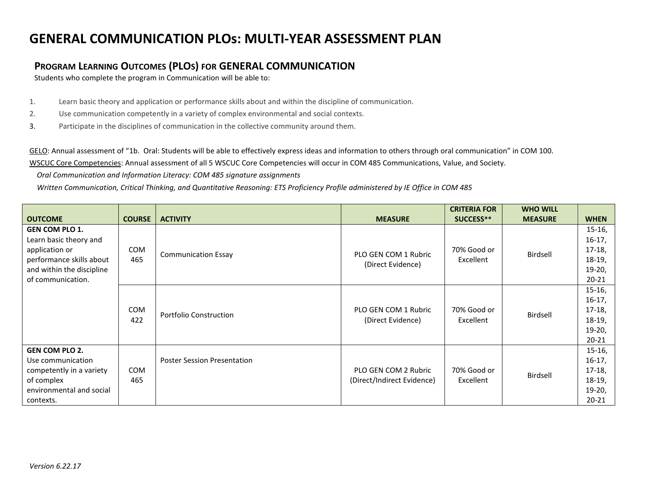## **GENERAL COMMUNICATION PLOs: MULTI-YEAR ASSESSMENT PLAN**

## **PROGRAM LEARNING OUTCOMES (PLOS) FOR GENERAL COMMUNICATION**

Students who complete the program in Communication will be able to:

- 1. Learn basic theory and application or performance skills about and within the discipline of communication.
- 2. Use communication competently in a variety of complex environmental and social contexts.
- 3. Participate in the disciplines of communication in the collective community around them.

GELO: Annual assessment of "1b. Oral: Students will be able to effectively express ideas and information to others through oral communication" in COM 100. WSCUC Core Competencies: Annual assessment of all 5 WSCUC Core Competencies will occur in COM 485 Communications, Value, and Society.

 *Oral Communication and Information Literacy: COM 485 signature assignments*

 *Written Communication, Critical Thinking, and Quantitative Reasoning: ETS Proficiency Profile administered by IE Office in COM 485*

|                                          |                   |                                    |                                           | <b>CRITERIA FOR</b>      | <b>WHO WILL</b> |             |
|------------------------------------------|-------------------|------------------------------------|-------------------------------------------|--------------------------|-----------------|-------------|
| <b>OUTCOME</b>                           | <b>COURSE</b>     | <b>ACTIVITY</b>                    | <b>MEASURE</b>                            | SUCCESS**                | <b>MEASURE</b>  | <b>WHEN</b> |
| <b>GEN COM PLO 1.</b>                    |                   |                                    |                                           |                          |                 | $15-16,$    |
| Learn basic theory and<br>application or | <b>COM</b><br>465 | <b>Communication Essay</b>         | PLO GEN COM 1 Rubric<br>(Direct Evidence) | 70% Good or<br>Excellent | Birdsell        | $16-17,$    |
|                                          |                   |                                    |                                           |                          |                 | $17-18,$    |
| performance skills about                 |                   |                                    |                                           |                          |                 | $18-19,$    |
| and within the discipline                |                   |                                    |                                           |                          |                 | $19-20,$    |
| of communication.                        |                   |                                    |                                           |                          |                 | $20 - 21$   |
| <b>COM</b><br>422                        |                   | <b>Portfolio Construction</b>      | PLO GEN COM 1 Rubric<br>(Direct Evidence) | 70% Good or<br>Excellent | Birdsell        | $15-16,$    |
|                                          |                   |                                    |                                           |                          |                 | $16-17,$    |
|                                          |                   |                                    |                                           |                          |                 | $17-18,$    |
|                                          |                   |                                    |                                           |                          |                 | $18-19,$    |
|                                          |                   |                                    |                                           |                          |                 | $19-20,$    |
|                                          |                   |                                    |                                           |                          |                 | $20 - 21$   |
| <b>GEN COM PLO 2.</b>                    |                   |                                    |                                           |                          |                 | $15-16,$    |
| Use communication                        |                   | <b>Poster Session Presentation</b> |                                           |                          |                 | $16-17,$    |
| competently in a variety                 | <b>COM</b>        |                                    | PLO GEN COM 2 Rubric                      | 70% Good or              | Birdsell        | $17-18,$    |
| of complex                               | 465               |                                    | (Direct/Indirect Evidence)                | Excellent                |                 | $18-19,$    |
| environmental and social                 |                   |                                    |                                           |                          |                 | $19-20,$    |
| contexts.                                |                   |                                    |                                           |                          |                 | $20 - 21$   |